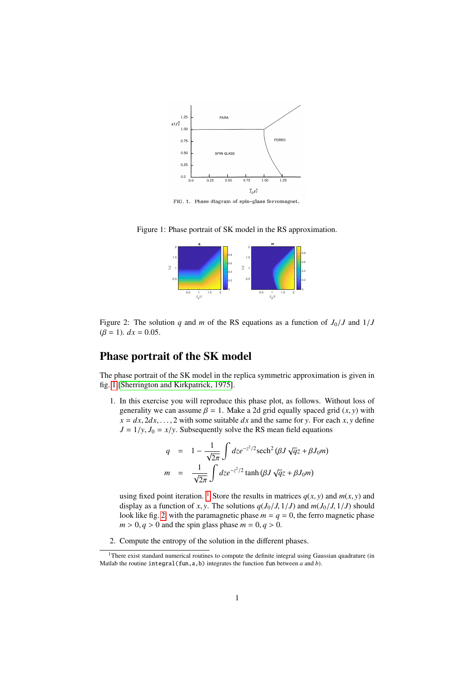

FIG. 1. Phase diagram of spin-glass ferromagnet.

<span id="page-0-0"></span>Figure 1: Phase portrait of SK model in the RS approximation.



<span id="page-0-2"></span>Figure 2: The solution *q* and *m* of the RS equations as a function of  $J_0/J$  and  $1/J$  $(\beta = 1)$ .  $dx = 0.05$ .

## Phase portrait of the SK model

The phase portrait of the SK model in the replica symmetric approximation is given in fig. [1](#page-0-0) [\[Sherrington and Kirkpatrick, 1975\]](#page-1-0).

1. In this exercise you will reproduce this phase plot, as follows. Without loss of generality we can assume  $\beta = 1$ . Make a 2d grid equally spaced grid  $(x, y)$  with  $x = dx, 2dx, \ldots, 2$  with some suitable *dx* and the same for *y*. For each *x*, *y* define  $J = 1/y$ ,  $J_0 = x/y$ . Subsequently solve the RS mean field equations

$$
q = 1 - \frac{1}{\sqrt{2\pi}} \int dz e^{-z^2/2} \operatorname{sech}^2 (\beta J \sqrt{q} z + \beta J_0 m)
$$

$$
m = \frac{1}{\sqrt{2\pi}} \int dz e^{-z^2/2} \tanh (\beta J \sqrt{q} z + \beta J_0 m)
$$

using fixed point iteration. <sup>[1](#page-0-1)</sup> Store the results in matrices  $q(x, y)$  and  $m(x, y)$  and display as a function of *x*, *y*. The solutions  $q(J_0/J, 1/J)$  and  $m(J_0/J, 1/J)$  should look like fig. [2,](#page-0-2) with the paramagnetic phase  $m = q = 0$ , the ferro magnetic phase  $m > 0$ ,  $q > 0$  and the spin glass phase  $m = 0$ ,  $q > 0$ .

2. Compute the entropy of the solution in the different phases.

<span id="page-0-1"></span><sup>&</sup>lt;sup>1</sup>There exist standard numerical routines to compute the definite integral using Gaussian quadrature (in Matlab the routine  $integral(fun, a, b)$  integrates the function fun between *a* and *b*).